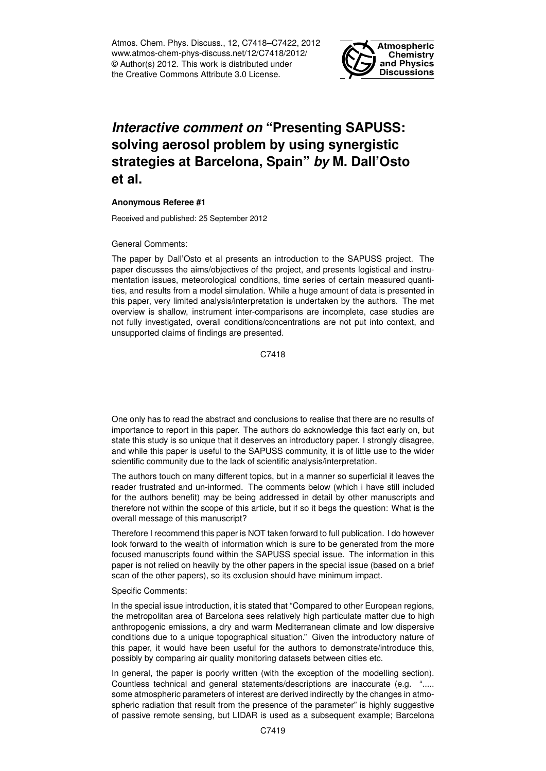Atmos. Chem. Phys. Discuss., 12, C7418–C7422, 2012 www.atmos-chem-phys-discuss.net/12/C7418/2012/ © Author(s) 2012. This work is distributed under the Creative Commons Attribute 3.0 License.



## *Interactive comment on* **"Presenting SAPUSS: solving aerosol problem by using synergistic strategies at Barcelona, Spain"** *by* **M. Dall'Osto et al.**

## **Anonymous Referee #1**

Received and published: 25 September 2012

## General Comments:

The paper by Dall'Osto et al presents an introduction to the SAPUSS project. The paper discusses the aims/objectives of the project, and presents logistical and instrumentation issues, meteorological conditions, time series of certain measured quantities, and results from a model simulation. While a huge amount of data is presented in this paper, very limited analysis/interpretation is undertaken by the authors. The met overview is shallow, instrument inter-comparisons are incomplete, case studies are not fully investigated, overall conditions/concentrations are not put into context, and unsupported claims of findings are presented.

C7418

One only has to read the abstract and conclusions to realise that there are no results of importance to report in this paper. The authors do acknowledge this fact early on, but state this study is so unique that it deserves an introductory paper. I strongly disagree, and while this paper is useful to the SAPUSS community, it is of little use to the wider scientific community due to the lack of scientific analysis/interpretation.

The authors touch on many different topics, but in a manner so superficial it leaves the reader frustrated and un-informed. The comments below (which i have still included for the authors benefit) may be being addressed in detail by other manuscripts and therefore not within the scope of this article, but if so it begs the question: What is the overall message of this manuscript?

Therefore I recommend this paper is NOT taken forward to full publication. I do however look forward to the wealth of information which is sure to be generated from the more focused manuscripts found within the SAPUSS special issue. The information in this paper is not relied on heavily by the other papers in the special issue (based on a brief scan of the other papers), so its exclusion should have minimum impact.

## Specific Comments:

In the special issue introduction, it is stated that "Compared to other European regions, the metropolitan area of Barcelona sees relatively high particulate matter due to high anthropogenic emissions, a dry and warm Mediterranean climate and low dispersive conditions due to a unique topographical situation." Given the introductory nature of this paper, it would have been useful for the authors to demonstrate/introduce this, possibly by comparing air quality monitoring datasets between cities etc.

In general, the paper is poorly written (with the exception of the modelling section). Countless technical and general statements/descriptions are inaccurate (e.g. "..... some atmospheric parameters of interest are derived indirectly by the changes in atmospheric radiation that result from the presence of the parameter" is highly suggestive of passive remote sensing, but LIDAR is used as a subsequent example; Barcelona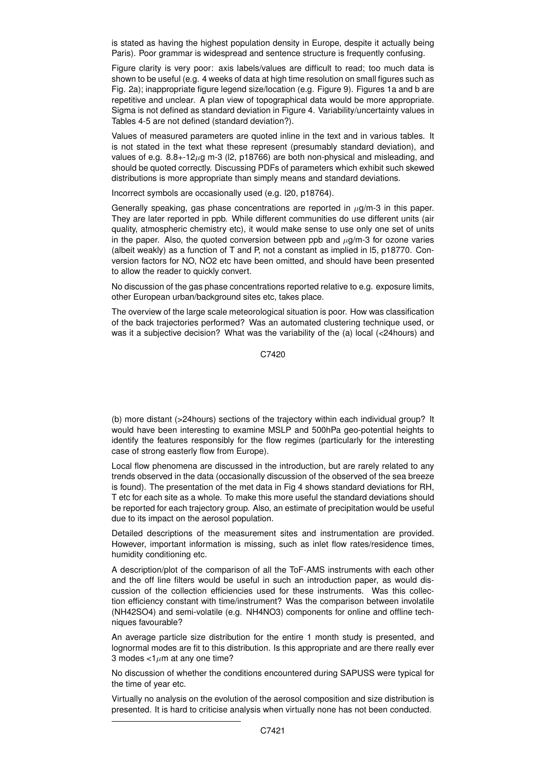is stated as having the highest population density in Europe, despite it actually being Paris). Poor grammar is widespread and sentence structure is frequently confusing.

Figure clarity is very poor: axis labels/values are difficult to read; too much data is shown to be useful (e.g. 4 weeks of data at high time resolution on small figures such as Fig. 2a); inappropriate figure legend size/location (e.g. Figure 9). Figures 1a and b are repetitive and unclear. A plan view of topographical data would be more appropriate. Sigma is not defined as standard deviation in Figure 4. Variability/uncertainty values in Tables 4-5 are not defined (standard deviation?).

Values of measured parameters are quoted inline in the text and in various tables. It is not stated in the text what these represent (presumably standard deviation), and values of e.g.  $8.8++12\mu$ g m-3 (l2, p18766) are both non-physical and misleading, and should be quoted correctly. Discussing PDFs of parameters which exhibit such skewed distributions is more appropriate than simply means and standard deviations.

Incorrect symbols are occasionally used (e.g. l20, p18764).

Generally speaking, gas phase concentrations are reported in  $\mu$ g/m-3 in this paper. They are later reported in ppb. While different communities do use different units (air quality, atmospheric chemistry etc), it would make sense to use only one set of units in the paper. Also, the quoted conversion between ppb and  $\mu$ g/m-3 for ozone varies (albeit weakly) as a function of T and P, not a constant as implied in l5, p18770. Conversion factors for NO, NO2 etc have been omitted, and should have been presented to allow the reader to quickly convert.

No discussion of the gas phase concentrations reported relative to e.g. exposure limits, other European urban/background sites etc, takes place.

The overview of the large scale meteorological situation is poor. How was classification of the back trajectories performed? Was an automated clustering technique used, or was it a subjective decision? What was the variability of the (a) local (<24hours) and

C7420

(b) more distant (>24hours) sections of the trajectory within each individual group? It would have been interesting to examine MSLP and 500hPa geo-potential heights to identify the features responsibly for the flow regimes (particularly for the interesting case of strong easterly flow from Europe).

Local flow phenomena are discussed in the introduction, but are rarely related to any trends observed in the data (occasionally discussion of the observed of the sea breeze is found). The presentation of the met data in Fig 4 shows standard deviations for RH, T etc for each site as a whole. To make this more useful the standard deviations should be reported for each trajectory group. Also, an estimate of precipitation would be useful due to its impact on the aerosol population.

Detailed descriptions of the measurement sites and instrumentation are provided. However, important information is missing, such as inlet flow rates/residence times, humidity conditioning etc.

A description/plot of the comparison of all the ToF-AMS instruments with each other and the off line filters would be useful in such an introduction paper, as would discussion of the collection efficiencies used for these instruments. Was this collection efficiency constant with time/instrument? Was the comparison between involatile (NH42SO4) and semi-volatile (e.g. NH4NO3) components for online and offline techniques favourable?

An average particle size distribution for the entire 1 month study is presented, and lognormal modes are fit to this distribution. Is this appropriate and are there really ever 3 modes  $<1 \mu m$  at any one time?

No discussion of whether the conditions encountered during SAPUSS were typical for the time of year etc.

Virtually no analysis on the evolution of the aerosol composition and size distribution is presented. It is hard to criticise analysis when virtually none has not been conducted.